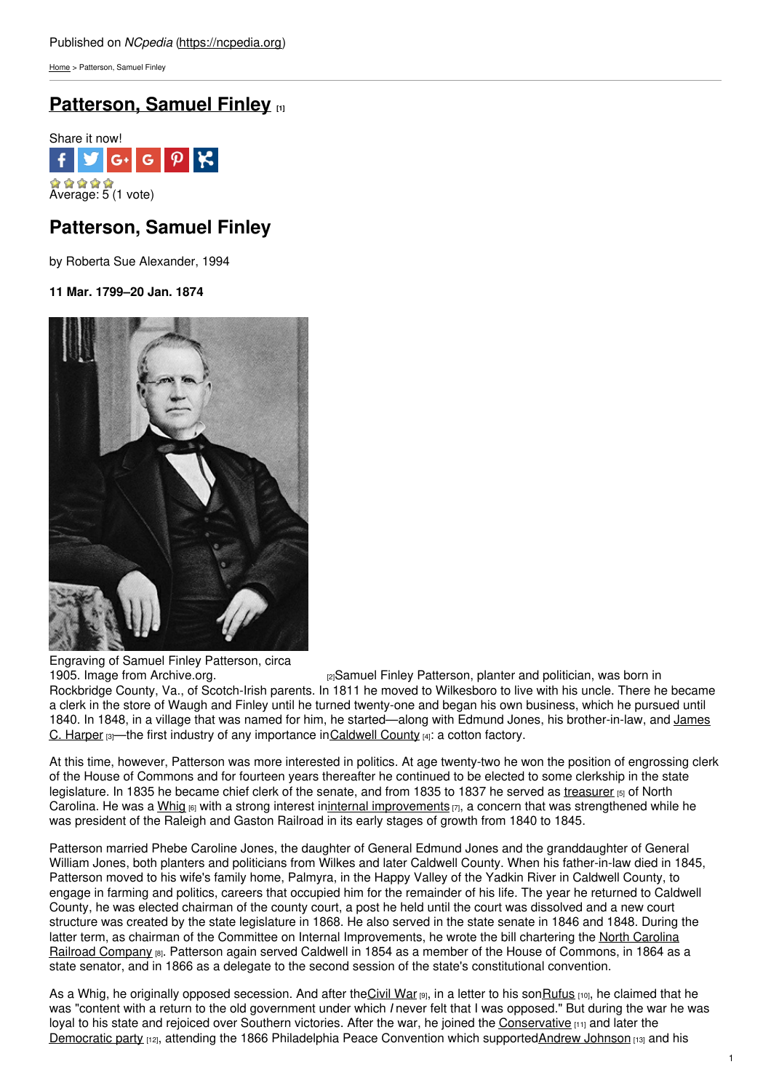[Home](https://ncpedia.org/) > Patterson, Samuel Finley

# **[Patterson,](https://ncpedia.org/biography/patterson-samuel-finley) Samuel Finley [1]**



# **Patterson, Samuel Finley**

by Roberta Sue Alexander, 1994

**11 Mar. 1799–20 Jan. 1874**



Engraving of Samuel Finley Patterson, circa<br>1905. Image from Archive.org.

 $p_2$ Samuel Finley Patterson, planter and politician, was born in Rockbridge County, Va., of Scotch-Irish parents. In 1811 he moved to Wilkesboro to live with his uncle. There he became a clerk in the store of Waugh and Finley until he turned twenty-one and began his own business, which he pursued until 1840. In 1848, in a village that was named for him, he [started—along](https://ncpedia.org/biography/harper-james-clarence) with Edmund Jones, his brother-in-law, and James C. Harper  $\left|3\right|$ —the first industry of any importance i[nCaldwell](https://ncpedia.org/geography/caldwell) County  $\left|4\right|$ : a cotton factory.

At this time, however, Patterson was more interested in politics. At age twenty-two he won the position of engrossing clerk of the House of Commons and for fourteen years thereafter he continued to be elected to some clerkship in the state legislature. In 1835 he became chief clerk of the senate, and from 1835 to 1837 he served as [treasurer](https://ncpedia.org/treasurer) [5] of North Carolina. He was a [Whig](https://ncpedia.org/whig-party)  $_{[6]}$  with a strong interest ininternal [improvements](https://ncpedia.org/internal-improvements-0)  $_{[7]}$ , a concern that was strengthened while he was president of the Raleigh and Gaston Railroad in its early stages of growth from 1840 to 1845.

Patterson married Phebe Caroline Jones, the daughter of General Edmund Jones and the granddaughter of General William Jones, both planters and politicians from Wilkes and later Caldwell County. When his father-in-law died in 1845, Patterson moved to his wife's family home, Palmyra, in the Happy Valley of the Yadkin River in Caldwell County, to engage in farming and politics, careers that occupied him for the remainder of his life. The year he returned to Caldwell County, he was elected chairman of the county court, a post he held until the court was dissolved and a new court structure was created by the state legislature in 1868. He also served in the state senate in 1846 and 1848. During the latter term, as chairman of the Committee on Internal [Improvements,](https://ncpedia.org/north-carolina-railroad) he wrote the bill chartering the North Carolina Railroad Company [8]. Patterson again served Caldwell in 1854 as a member of the House of Commons, in 1864 as a state senator, and in 1866 as a delegate to the second session of the state's constitutional convention.

As a Whig, he originally opposed secession. And after the [Civil](https://ncpedia.org/history/cw-1900/civil-war) War [9], in a letter to his son Rufus [10], he claimed that he was "content with a return to the old government under which *I* never felt that I was opposed." But during the war he was loyal to his state and rejoiced over Southern victories. After the war, he joined the [Conservative](https://ncpedia.org/conservative-party) [11] and later the [Democratic](https://ncpedia.org/democratic-party) party [12], attending the 1866 Philadelphia Peace Convention which supportedAndrew [Johnson](https://ncpedia.org/johnson-andrew) [13] and his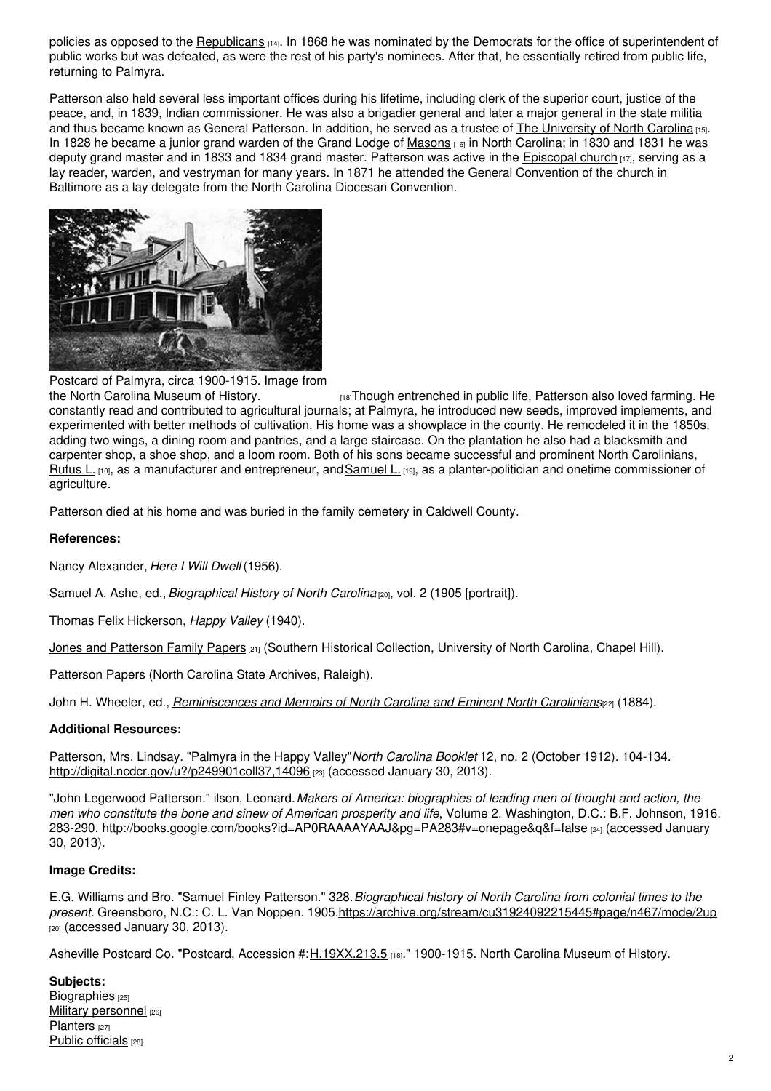policies as opposed to the **[Republicans](https://ncpedia.org/republican-party)** [14]. In 1868 he was nominated by the Democrats for the office of superintendent of public works but was defeated, as were the rest of his party's nominees. After that, he essentially retired from public life, returning to Palmyra.

Patterson also held several less important offices during his lifetime, including clerk of the superior court, justice of the peace, and, in 1839, Indian commissioner. He was also a brigadier general and later a major general in the state militia and thus became known as General Patterson. In addition, he served as a trustee of The [University](https://ncpedia.org/university-north-carolina-chapel-hi) of North Carolina [15]. In 1828 he became a junior grand warden of the Grand Lodge of [Masons](https://ncpedia.org/freemasons) [16] in North Carolina; in 1830 and 1831 he was deputy grand master and in 1833 and 1834 grand master. Patterson was active in the [Episcopal](https://ncpedia.org/religion/episcopal-church) church  $\mu_7$ , serving as a lay reader, warden, and vestryman for many years. In 1871 he attended the General Convention of the church in Baltimore as a lay delegate from the North Carolina Diocesan Convention.



Postcard of Palmyra, circa 1900-1915. Image from

the North Carolina [Museum](http://collections.ncdcr.gov/RediscoveryProficioPublicSearch/ShowItem.aspx?44555+) of History. **[18] Though entrenched in public life, Patterson also loved farming. He** constantly read and contributed to agricultural journals; at Palmyra, he introduced new seeds, improved implements, and experimented with better methods of cultivation. His home was a showplace in the county. He remodeled it in the 1850s, adding two wings, a dining room and pantries, and a large staircase. On the plantation he also had a blacksmith and carpenter shop, a shoe shop, and a loom room. Both of his sons became successful and prominent North Carolinians, [Rufus](https://ncpedia.org/biography/patterson-rufus-lenoir) L. [10], as a manufacturer and entrepreneur, and [Samuel](https://ncpedia.org/biography/patterson-samuel) L. [19], as a planter-politician and onetime commissioner of agriculture.

Patterson died at his home and was buried in the family cemetery in Caldwell County.

### **References:**

Nancy Alexander, *Here I Will Dwell* (1956).

Samuel A. Ashe, ed., *[Biographical](https://archive.org/stream/cu31924092215445#page/n467/mode/2up) History of North Carolina* [20], vol. 2 (1905 [portrait]).

Thomas Felix Hickerson, *Happy Valley* (1940).

Jones and [Patterson](http://www.lib.unc.edu/mss/inv/j/Jones_and_Patterson_Family.html) Family Papers [21] (Southern Historical Collection, University of North Carolina, Chapel Hill).

Patterson Papers (North Carolina State Archives, Raleigh).

John H. Wheeler, ed., *[Reminiscences](https://archive.org/stream/reminiscencesmemwhee#page/98/mode/2up/search/patterson) and Memoirs of North Carolina and Eminent North Carolinians*[22] (1884).

### **Additional Resources:**

Patterson, Mrs. Lindsay. "Palmyra in the Happy Valley"*North Carolina Booklet* 12, no. 2 (October 1912). 104-134. <http://digital.ncdcr.gov/u?/p249901coll37,14096> [23] (accessed January 30, 2013).

"John Legerwood Patterson." ilson, Leonard.*Makers of America: biographies of leading men of thought and action, the men who constitute the bone and sinew of American prosperity and life*, Volume 2. Washington, D.C.: B.F. Johnson, 1916. 283-290. <http://books.google.com/books?id=AP0RAAAAYAAJ&pg=PA283#v=onepage&q&f=false> [24] (accessed January 30, 2013).

### **Image Credits:**

E.G. Williams and Bro. "Samuel Finley Patterson." 328.*Biographical history of North Carolina from colonial times to the present.* Greensboro, N.C.: C. L. Van Noppen. 1905[.https://archive.org/stream/cu31924092215445#page/n467/mode/2up](https://archive.org/stream/cu31924092215445#page/n467/mode/2up) [20] (accessed January 30, 2013).

Asheville Postcard Co. "Postcard, Accession #: H.19XX.213.5 [18]." 1900-1915. North Carolina Museum of History.

**Subjects:** [Biographies](https://ncpedia.org/category/subjects/biography-term) [25] Military [personnel](https://ncpedia.org/category/subjects/soldiers) [26] [Planters](https://ncpedia.org/category/subjects/planters) [27] Public [officials](https://ncpedia.org/category/subjects/public-officials) [28]